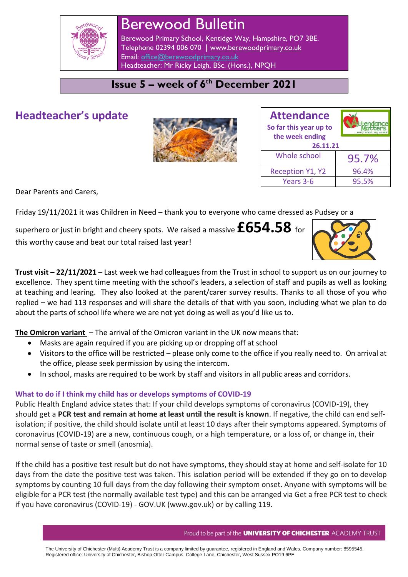

# Berewood Bulletin

Berewood Primary School, Kentidge Way, Hampshire, PO7 3BE. Telephone 02394 006 070 **|** [www.berewoodprimary.co.uk](http://www.berewoodprimary.co.uk/) Email: [office@berewoodprimary.co.uk](mailto:office@berewoodprimary.co.uk) Headteacher: Mr Ricky Leigh, BSc. (Hons.), NPQH

## **Issue 5 – week of 6 th December 2021**

## **Headteacher's update**



| <b>Attendance</b><br>So far this year up to<br>the week ending |       |  |
|----------------------------------------------------------------|-------|--|
| 26.11.21                                                       |       |  |
| Whole school                                                   | 95.7% |  |
| <b>Reception Y1, Y2</b>                                        | 96.4% |  |
| Years 3-6                                                      | 95.5% |  |

Dear Parents and Carers,

Friday 19/11/2021 it was Children in Need – thank you to everyone who came dressed as Pudsey or a

superhero or just in bright and cheery spots. We raised a massive **£654.58** for this worthy cause and beat our total raised last year!



**Trust visit – 22/11/2021** – Last week we had colleagues from the Trust in school to support us on our journey to excellence. They spent time meeting with the school's leaders, a selection of staff and pupils as well as looking at teaching and learing. They also looked at the parent/carer survey results. Thanks to all those of you who replied – we had 113 responses and will share the details of that with you soon, including what we plan to do about the parts of school life where we are not yet doing as well as you'd like us to.

**The Omicron variant** – The arrival of the Omicron variant in the UK now means that:

- Masks are again required if you are picking up or dropping off at school
- Visitors to the office will be restricted please only come to the office if you really need to. On arrival at the office, please seek permission by using the intercom.
- In school, masks are required to be work by staff and visitors in all public areas and corridors.

## **What to do if I think my child has or develops symptoms of COVID-19**

Public Health England advice states that: If your child develops symptoms of coronavirus (COVID-19), they should get a **PCR test and remain at home at least until the result is known**. If negative, the child can end selfisolation; if positive, the child should isolate until at least 10 days after their symptoms appeared. Symptoms of coronavirus (COVID-19) are a new, continuous cough, or a high temperature, or a loss of, or change in, their normal sense of taste or smell (anosmia).

If the child has a positive test result but do not have symptoms, they should stay at home and self-isolate for 10 days from the date the positive test was taken. This isolation period will be extended if they go on to develop symptoms by counting 10 full days from the day following their symptom onset. Anyone with symptoms will be eligible for a PCR test (the normally available test type) and this can be arranged via Get a free PCR test to check if you have coronavirus (COVID-19) - GOV.UK (www.gov.uk) or by calling 119.

The University of Chichester (Multi) Academy Trust is a company limited by guarantee, registered in England and Wales. Company number: 8595545. Registered office: University of Chichester, Bishop Otter Campus, College Lane, Chichester, West Sussex PO19 6PE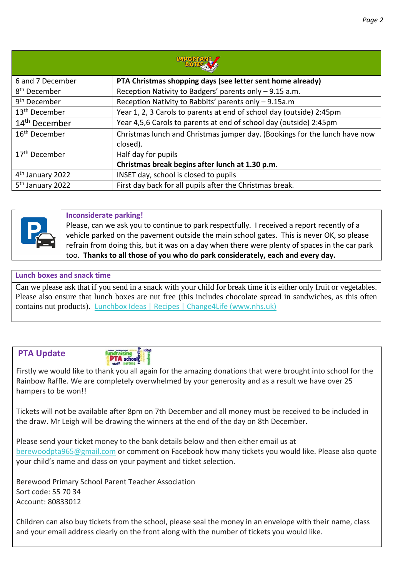| <b>MPORTANT</b>              |                                                                            |  |
|------------------------------|----------------------------------------------------------------------------|--|
| 6 and 7 December             | PTA Christmas shopping days (see letter sent home already)                 |  |
| 8 <sup>th</sup> December     | Reception Nativity to Badgers' parents only - 9.15 a.m.                    |  |
| 9 <sup>th</sup> December     | Reception Nativity to Rabbits' parents only - 9.15a.m                      |  |
| 13 <sup>th</sup> December    | Year 1, 2, 3 Carols to parents at end of school day (outside) 2:45pm       |  |
| 14 <sup>th</sup> December    | Year 4,5,6 Carols to parents at end of school day (outside) 2:45pm         |  |
| 16 <sup>th</sup> December    | Christmas lunch and Christmas jumper day. (Bookings for the lunch have now |  |
|                              | closed).                                                                   |  |
| 17 <sup>th</sup> December    | Half day for pupils                                                        |  |
|                              | Christmas break begins after lunch at 1.30 p.m.                            |  |
| 4 <sup>th</sup> January 2022 | INSET day, school is closed to pupils                                      |  |
| 5 <sup>th</sup> January 2022 | First day back for all pupils after the Christmas break.                   |  |



#### **Inconsiderate parking!**

Please, can we ask you to continue to park respectfully. I received a report recently of a vehicle parked on the pavement outside the main school gates. This is never OK, so please refrain from doing this, but it was on a day when there were plenty of spaces in the car park too. **Thanks to all those of you who do park considerately, each and every day.**

#### **Lunch boxes and snack time**

Can we please ask that if you send in a snack with your child for break time it is either only fruit or vegetables. Please also ensure that lunch boxes are nut free (this includes chocolate spread in sandwiches, as this often contains nut products). [Lunchbox Ideas | Recipes | Change4Life \(www.nhs.uk\)](https://www.nhs.uk/change4life/recipes/healthier-lunchboxes)

#### **PTA Update**

**PTA** school

Firstly we would like to thank you all again for the amazing donations that were brought into school for the Rainbow Raffle. We are completely overwhelmed by your generosity and as a result we have over 25 hampers to be won!!

Tickets will not be available after 8pm on 7th December and all money must be received to be included in the draw. Mr Leigh will be drawing the winners at the end of the day on 8th December.

Please send your ticket money to the bank details below and then either email us at [berewoodpta965@gmail.com](mailto:berewoodpta965@gmail.com) or comment on Facebook how many tickets you would like. Please also quote your child's name and class on your payment and ticket selection.

Berewood Primary School Parent Teacher Association Sort code: 55 70 34 Account: 80833012

Children can also buy tickets from the school, please seal the money in an envelope with their name, class and your email address clearly on the front along with the number of tickets you would like.